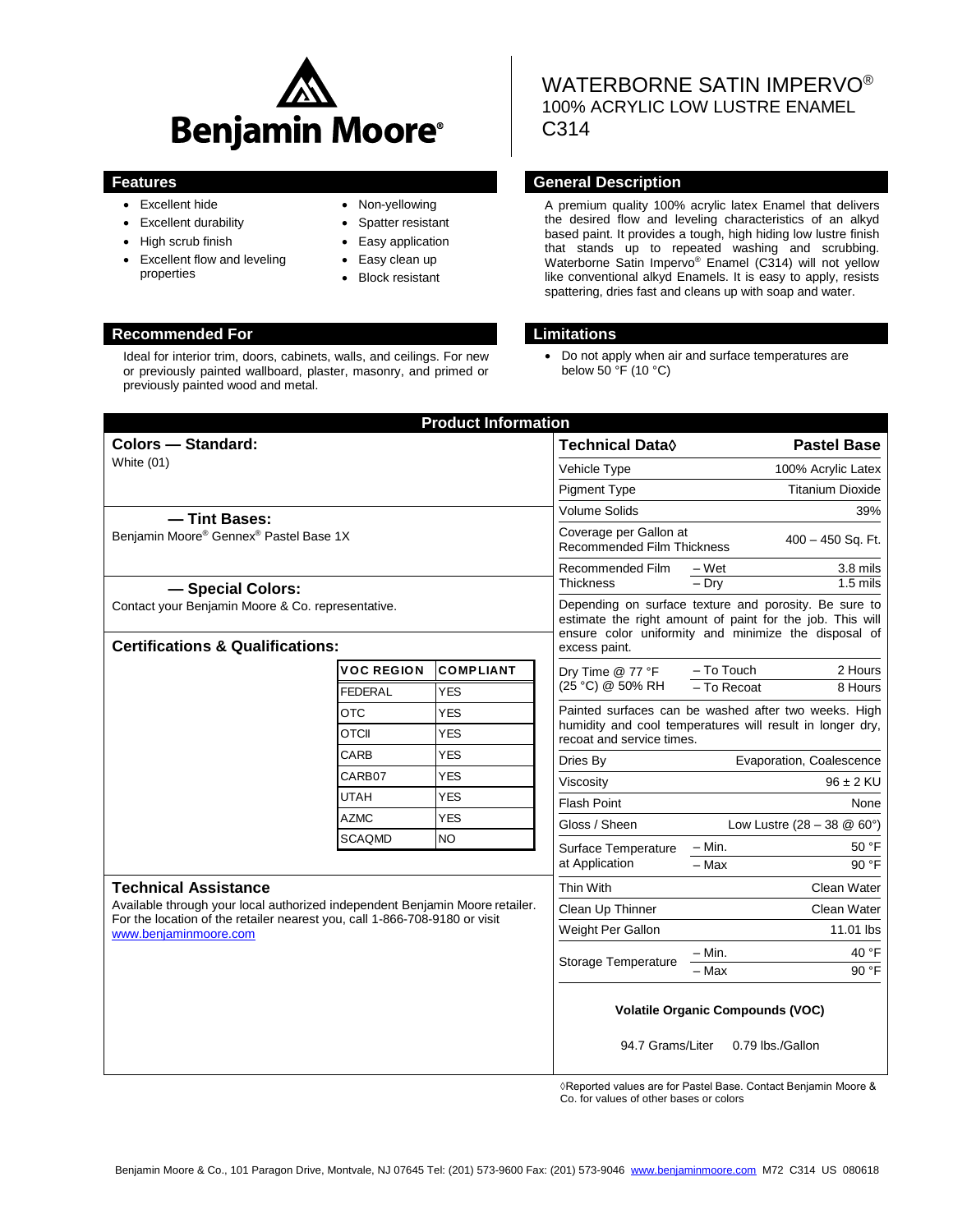

- Excellent hide
- Excellent durability
- High scrub finish
- Excellent flow and leveling properties
- Non-yellowing
- Spatter resistant
- Easy application
- Easy clean up
- Block resistant

## **Recommended For Limitations**

Ideal for interior trim, doors, cabinets, walls, and ceilings. For new or previously painted wallboard, plaster, masonry, and primed or previously painted wood and metal.

# WATERBORNE SATIN IMPERVO® 100% ACRYLIC LOW LUSTRE ENAMEL C314

### **Features General Description**

A premium quality 100% acrylic latex Enamel that delivers the desired flow and leveling characteristics of an alkyd based paint. It provides a tough, high hiding low lustre finish that stands up to repeated washing and scrubbing. Waterborne Satin Impervo® Enamel (C314) will not yellow like conventional alkyd Enamels. It is easy to apply, resists spattering, dries fast and cleans up with soap and water.

 Do not apply when air and surface temperatures are below  $50 \, \text{°F}$  (10 °C)

| <b>Colors - Standard:</b><br>White (01)                                                                                                                                                                            |            |                  | <b>Technical Data</b> ♦                                                                                                                                                                     | <b>Pastel Base</b>                                   |  |
|--------------------------------------------------------------------------------------------------------------------------------------------------------------------------------------------------------------------|------------|------------------|---------------------------------------------------------------------------------------------------------------------------------------------------------------------------------------------|------------------------------------------------------|--|
|                                                                                                                                                                                                                    |            |                  | Vehicle Type                                                                                                                                                                                | 100% Acrylic Latex                                   |  |
|                                                                                                                                                                                                                    |            |                  | <b>Pigment Type</b>                                                                                                                                                                         | <b>Titanium Dioxide</b>                              |  |
| - Tint Bases:                                                                                                                                                                                                      |            |                  | <b>Volume Solids</b>                                                                                                                                                                        | 39%                                                  |  |
| Benjamin Moore® Gennex® Pastel Base 1X                                                                                                                                                                             |            |                  | Coverage per Gallon at<br><b>Recommended Film Thickness</b>                                                                                                                                 | 400 - 450 Sq. Ft.                                    |  |
|                                                                                                                                                                                                                    |            |                  | – Wet<br>3.8 mils<br>Recommended Film<br>$-$ Dry<br>$1.5$ mils<br><b>Thickness</b>                                                                                                          |                                                      |  |
| - Special Colors:                                                                                                                                                                                                  |            |                  |                                                                                                                                                                                             |                                                      |  |
| Contact your Benjamin Moore & Co. representative.                                                                                                                                                                  |            |                  | Depending on surface texture and porosity. Be sure to<br>estimate the right amount of paint for the job. This will<br>ensure color uniformity and minimize the disposal of<br>excess paint. |                                                      |  |
| <b>Certifications &amp; Qualifications:</b>                                                                                                                                                                        |            |                  |                                                                                                                                                                                             |                                                      |  |
| <b>VOC REGION</b>                                                                                                                                                                                                  |            | <b>COMPLIANT</b> | Dry Time @ 77 °F                                                                                                                                                                            | - To Touch<br>2 Hours                                |  |
| <b>FEDERAL</b>                                                                                                                                                                                                     |            | <b>YES</b>       | (25 °C) @ 50% RH                                                                                                                                                                            | - To Recoat<br>8 Hours                               |  |
| <b>OTC</b>                                                                                                                                                                                                         |            | <b>YES</b>       |                                                                                                                                                                                             | Painted surfaces can be washed after two weeks. High |  |
| <b>OTCII</b>                                                                                                                                                                                                       | <b>YES</b> |                  | humidity and cool temperatures will result in longer dry,<br>recoat and service times.                                                                                                      |                                                      |  |
| CARB                                                                                                                                                                                                               |            | <b>YES</b>       | Dries By                                                                                                                                                                                    | Evaporation, Coalescence                             |  |
| CARB07                                                                                                                                                                                                             |            | <b>YES</b>       | Viscosity                                                                                                                                                                                   | $96 \pm 2$ KU                                        |  |
| <b>UTAH</b>                                                                                                                                                                                                        |            | <b>YES</b>       | Flash Point                                                                                                                                                                                 | None                                                 |  |
| <b>AZMC</b>                                                                                                                                                                                                        |            | <b>YES</b>       | Gloss / Sheen                                                                                                                                                                               | Low Lustre $(28 - 38 \& 60^{\circ})$                 |  |
| <b>SCAQMD</b>                                                                                                                                                                                                      |            | <b>NO</b>        | Surface Temperature                                                                                                                                                                         | $- Min.$<br>50 °F                                    |  |
|                                                                                                                                                                                                                    |            |                  | at Application                                                                                                                                                                              | $-$ Max<br>90 °F                                     |  |
| <b>Technical Assistance</b><br>Available through your local authorized independent Benjamin Moore retailer.<br>For the location of the retailer nearest you, call 1-866-708-9180 or visit<br>www.benjaminmoore.com |            |                  | Thin With                                                                                                                                                                                   | Clean Water                                          |  |
|                                                                                                                                                                                                                    |            |                  | Clean Up Thinner                                                                                                                                                                            | Clean Water                                          |  |
|                                                                                                                                                                                                                    |            |                  | Weight Per Gallon                                                                                                                                                                           | 11.01 lbs                                            |  |
|                                                                                                                                                                                                                    |            |                  |                                                                                                                                                                                             | $-$ Min.<br>40 °F                                    |  |
|                                                                                                                                                                                                                    |            |                  | Storage Temperature                                                                                                                                                                         | 90 °F<br>$-$ Max                                     |  |
|                                                                                                                                                                                                                    |            |                  | <b>Volatile Organic Compounds (VOC)</b>                                                                                                                                                     |                                                      |  |
|                                                                                                                                                                                                                    |            |                  | 94.7 Grams/Liter                                                                                                                                                                            | 0.79 lbs./Gallon                                     |  |

◊Reported values are for Pastel Base. Contact Benjamin Moore & Co. for values of other bases or colors